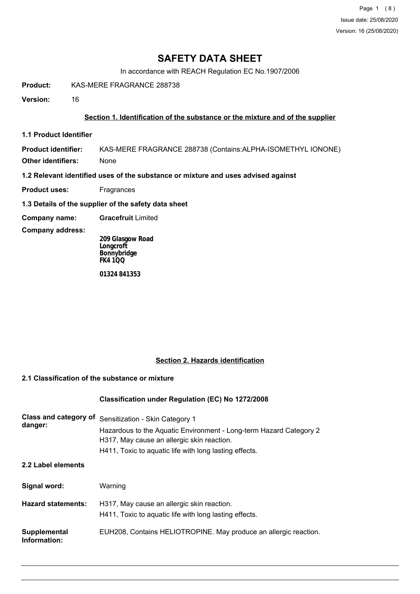# **SAFETY DATA SHEET**

In accordance with REACH Regulation EC No.1907/2006

**Product:** KAS-MERE FRAGRANCE 288738

**Version:** 16

### **Section 1. Identification of the substance or the mixture and of the supplier**

**1.1 Product Identifier**

**Product identifier:** KAS-MERE FRAGRANCE 288738 (Contains:ALPHA-ISOMETHYL IONONE)

**Other identifiers:** None

**1.2 Relevant identified uses of the substance or mixture and uses advised against**

- **Product uses:** Fragrances
- **1.3 Details of the supplier of the safety data sheet**
- **Company name: Gracefruit** Limited

**Company address:**

**209 Glasgow Road Longcroft Bonnybridge FK4 1QQ**

**01324 841353**

# **Section 2. Hazards identification**

### **2.1 Classification of the substance or mixture**

### **Classification under Regulation (EC) No 1272/2008**

| Class and category of<br>danger: | Sensitization - Skin Category 1<br>Hazardous to the Aquatic Environment - Long-term Hazard Category 2<br>H317, May cause an allergic skin reaction.<br>H411, Toxic to aquatic life with long lasting effects. |  |
|----------------------------------|---------------------------------------------------------------------------------------------------------------------------------------------------------------------------------------------------------------|--|
| 2.2 Label elements               |                                                                                                                                                                                                               |  |
| Signal word:                     | Warning                                                                                                                                                                                                       |  |
| <b>Hazard statements:</b>        | H317, May cause an allergic skin reaction.<br>H411, Toxic to aquatic life with long lasting effects.                                                                                                          |  |
| Supplemental<br>Information:     | EUH208, Contains HELIOTROPINE. May produce an allergic reaction.                                                                                                                                              |  |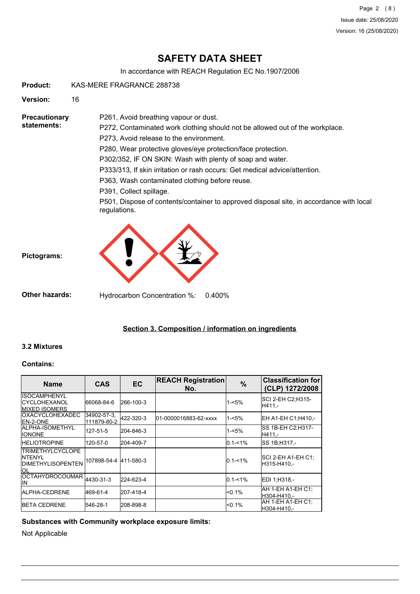Page 2 (8) Issue date: 25/08/2020 Version: 16 (25/08/2020)

# **SAFETY DATA SHEET**

In accordance with REACH Regulation EC No.1907/2006

**Product:** KAS-MERE FRAGRANCE 288738

**Version:** 16

**Precautionary statements:**

P272, Contaminated work clothing should not be allowed out of the workplace.

P273, Avoid release to the environment.

P261, Avoid breathing vapour or dust.

P280, Wear protective gloves/eye protection/face protection.

P302/352, IF ON SKIN: Wash with plenty of soap and water.

P333/313, If skin irritation or rash occurs: Get medical advice/attention.

P363, Wash contaminated clothing before reuse.

P391, Collect spillage.

P501, Dispose of contents/container to approved disposal site, in accordance with local regulations.



**Other hazards:** Hydrocarbon Concentration %: 0.400%

# **Section 3. Composition / information on ingredients**

### **3.2 Mixtures**

**Pictograms:**

#### **Contains:**

| <b>Name</b>                                                            | <b>CAS</b>                 | <b>EC</b> | <b>REACH Registration</b><br>No. | $\frac{9}{6}$ | <b>Classification for</b><br>(CLP) 1272/2008 |
|------------------------------------------------------------------------|----------------------------|-----------|----------------------------------|---------------|----------------------------------------------|
| <b>ISOCAMPHENYL</b><br><b>ICYCLOHEXANOL</b><br><b>IMIXED ISOMERS</b>   | 66068-84-6                 | 266-100-3 |                                  | $1 - 5%$      | SCI 2-EH C2:H315-<br>H411.-                  |
| <b>IOXACYCLOHEXADEC</b><br>IEN-2-ONE                                   | 34902-57-3.<br>111879-80-2 | 422-320-3 | 01-0000016883-62-xxxx            | $1 - 5%$      | EH A1-EH C1;H410,-                           |
| IALPHA-ISOMETHYL<br><b>IONONE</b>                                      | 127-51-5                   | 204-846-3 |                                  | 1-<5%         | SS 1B-EH C2:H317-<br>H411.-                  |
| <b>HELIOTROPINE</b>                                                    | 120-57-0                   | 204-409-7 |                                  | $0.1 - 1\%$   | SS 1B:H317.-                                 |
| <b>TRIMETHYLCYCLOPE</b><br>INTFNYI<br><b>IDIMETHYLISOPENTEN</b><br>IOL | 107898-54-4 411-580-3      |           |                                  | $0.1 - 1\%$   | SCI 2-EH A1-EH C1;<br>H315-H410.-            |
| OCTAHYDROCOUMAR 4430-31-3<br>lιn                                       |                            | 224-623-4 |                                  | $0.1 - 1\%$   | IEDI 1:H318.-                                |
| ALPHA-CEDRENE                                                          | 469-61-4                   | 207-418-4 |                                  | $< 0.1\%$     | AH 1-EH A1-EH C1:<br>H304-H410.-             |
| <b>IBETA CEDRENE</b>                                                   | 546-28-1                   | 208-898-8 |                                  | < 0.1%        | AH 1-EH A1-EH C1:<br>H304-H410.-             |

**Substances with Community workplace exposure limits:**

Not Applicable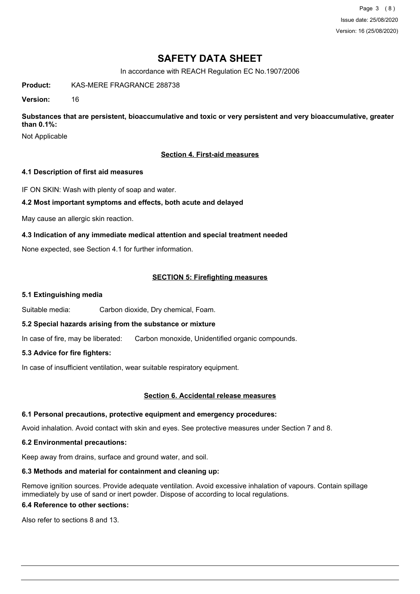Page 3 (8) Issue date: 25/08/2020 Version: 16 (25/08/2020)

# **SAFETY DATA SHEET**

In accordance with REACH Regulation EC No.1907/2006

**Product:** KAS-MERE FRAGRANCE 288738

**Version:** 16

**Substances that are persistent, bioaccumulative and toxic or very persistent and very bioaccumulative, greater than 0.1%:**

Not Applicable

## **Section 4. First-aid measures**

### **4.1 Description of first aid measures**

IF ON SKIN: Wash with plenty of soap and water.

### **4.2 Most important symptoms and effects, both acute and delayed**

May cause an allergic skin reaction.

## **4.3 Indication of any immediate medical attention and special treatment needed**

None expected, see Section 4.1 for further information.

### **SECTION 5: Firefighting measures**

#### **5.1 Extinguishing media**

Suitable media: Carbon dioxide, Dry chemical, Foam.

### **5.2 Special hazards arising from the substance or mixture**

In case of fire, may be liberated: Carbon monoxide, Unidentified organic compounds.

### **5.3 Advice for fire fighters:**

In case of insufficient ventilation, wear suitable respiratory equipment.

### **Section 6. Accidental release measures**

### **6.1 Personal precautions, protective equipment and emergency procedures:**

Avoid inhalation. Avoid contact with skin and eyes. See protective measures under Section 7 and 8.

### **6.2 Environmental precautions:**

Keep away from drains, surface and ground water, and soil.

### **6.3 Methods and material for containment and cleaning up:**

Remove ignition sources. Provide adequate ventilation. Avoid excessive inhalation of vapours. Contain spillage immediately by use of sand or inert powder. Dispose of according to local regulations.

### **6.4 Reference to other sections:**

Also refer to sections 8 and 13.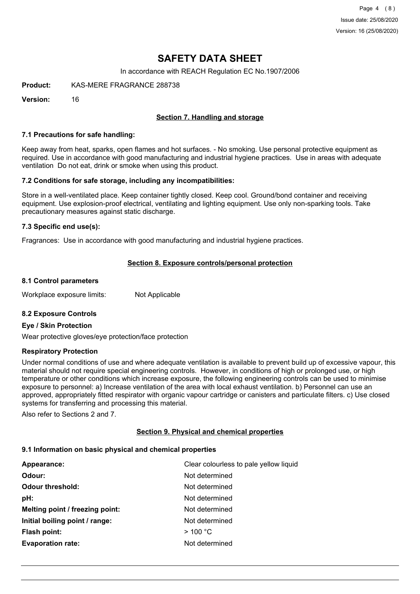Page 4 (8) Issue date: 25/08/2020 Version: 16 (25/08/2020)

# **SAFETY DATA SHEET**

In accordance with REACH Regulation EC No.1907/2006

**Product:** KAS-MERE FRAGRANCE 288738

**Version:** 16

## **Section 7. Handling and storage**

#### **7.1 Precautions for safe handling:**

Keep away from heat, sparks, open flames and hot surfaces. - No smoking. Use personal protective equipment as required. Use in accordance with good manufacturing and industrial hygiene practices. Use in areas with adequate ventilation Do not eat, drink or smoke when using this product.

### **7.2 Conditions for safe storage, including any incompatibilities:**

Store in a well-ventilated place. Keep container tightly closed. Keep cool. Ground/bond container and receiving equipment. Use explosion-proof electrical, ventilating and lighting equipment. Use only non-sparking tools. Take precautionary measures against static discharge.

### **7.3 Specific end use(s):**

Fragrances: Use in accordance with good manufacturing and industrial hygiene practices.

### **Section 8. Exposure controls/personal protection**

#### **8.1 Control parameters**

Workplace exposure limits: Not Applicable

### **8.2 Exposure Controls**

### **Eye / Skin Protection**

Wear protective gloves/eye protection/face protection

### **Respiratory Protection**

Under normal conditions of use and where adequate ventilation is available to prevent build up of excessive vapour, this material should not require special engineering controls. However, in conditions of high or prolonged use, or high temperature or other conditions which increase exposure, the following engineering controls can be used to minimise exposure to personnel: a) Increase ventilation of the area with local exhaust ventilation. b) Personnel can use an approved, appropriately fitted respirator with organic vapour cartridge or canisters and particulate filters. c) Use closed systems for transferring and processing this material.

Also refer to Sections 2 and 7.

### **Section 9. Physical and chemical properties**

### **9.1 Information on basic physical and chemical properties**

| Clear colourless to pale yellow liquid |
|----------------------------------------|
| Not determined                         |
| Not determined                         |
| Not determined                         |
| Not determined                         |
| Not determined                         |
| $>$ 100 °C                             |
| Not determined                         |
|                                        |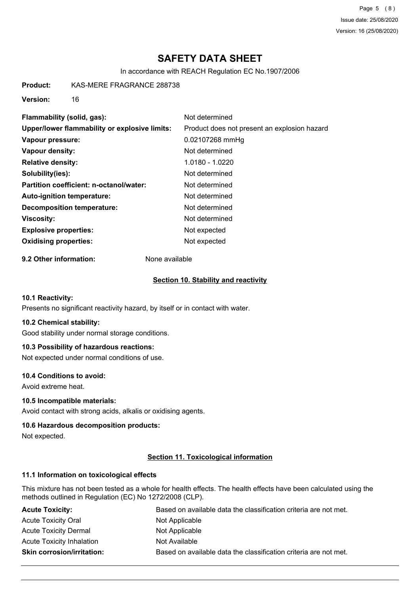Page 5 (8) Issue date: 25/08/2020 Version: 16 (25/08/2020)

# **SAFETY DATA SHEET**

In accordance with REACH Regulation EC No.1907/2006

**Product:** KAS-MERE FRAGRANCE 288738

**Version:** 16

| Flammability (solid, gas):                    | Not determined                               |
|-----------------------------------------------|----------------------------------------------|
| Upper/lower flammability or explosive limits: | Product does not present an explosion hazard |
| Vapour pressure:                              | 0.02107268 mmHg                              |
| Vapour density:                               | Not determined                               |
| <b>Relative density:</b>                      | 1.0180 - 1.0220                              |
| Solubility(ies):                              | Not determined                               |
| Partition coefficient: n-octanol/water:       | Not determined                               |
| Auto-ignition temperature:                    | Not determined                               |
| <b>Decomposition temperature:</b>             | Not determined                               |
| Viscosity:                                    | Not determined                               |
| <b>Explosive properties:</b>                  | Not expected                                 |
| <b>Oxidising properties:</b>                  | Not expected                                 |

**9.2 Other information:** None available

### **Section 10. Stability and reactivity**

### **10.1 Reactivity:**

Presents no significant reactivity hazard, by itself or in contact with water.

#### **10.2 Chemical stability:**

Good stability under normal storage conditions.

### **10.3 Possibility of hazardous reactions:**

Not expected under normal conditions of use.

#### **10.4 Conditions to avoid:**

Avoid extreme heat.

#### **10.5 Incompatible materials:**

Avoid contact with strong acids, alkalis or oxidising agents.

#### **10.6 Hazardous decomposition products:**

Not expected.

### **Section 11. Toxicological information**

#### **11.1 Information on toxicological effects**

This mixture has not been tested as a whole for health effects. The health effects have been calculated using the methods outlined in Regulation (EC) No 1272/2008 (CLP).

| <b>Acute Toxicity:</b>            | Based on available data the classification criteria are not met. |
|-----------------------------------|------------------------------------------------------------------|
| <b>Acute Toxicity Oral</b>        | Not Applicable                                                   |
| <b>Acute Toxicity Dermal</b>      | Not Applicable                                                   |
| Acute Toxicity Inhalation         | Not Available                                                    |
| <b>Skin corrosion/irritation:</b> | Based on available data the classification criteria are not met. |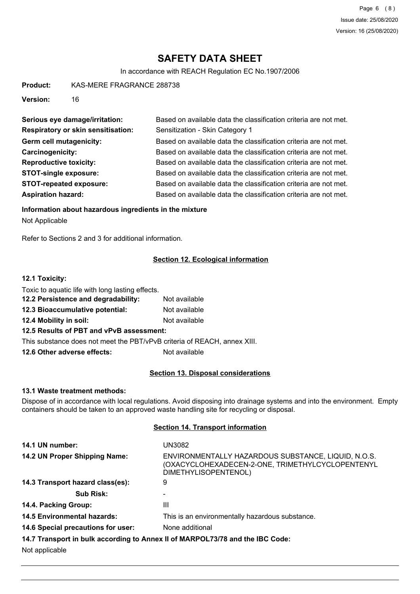# **SAFETY DATA SHEET**

In accordance with REACH Regulation EC No.1907/2006

**Product:** KAS-MERE FRAGRANCE 288738

**Version:** 16

| Serious eye damage/irritation:            | Based on available data the classification criteria are not met. |
|-------------------------------------------|------------------------------------------------------------------|
| <b>Respiratory or skin sensitisation:</b> | Sensitization - Skin Category 1                                  |
| Germ cell mutagenicity:                   | Based on available data the classification criteria are not met. |
| Carcinogenicity:                          | Based on available data the classification criteria are not met. |
| <b>Reproductive toxicity:</b>             | Based on available data the classification criteria are not met. |
| <b>STOT-single exposure:</b>              | Based on available data the classification criteria are not met. |
| <b>STOT-repeated exposure:</b>            | Based on available data the classification criteria are not met. |
| <b>Aspiration hazard:</b>                 | Based on available data the classification criteria are not met. |

### **Information about hazardous ingredients in the mixture**

Not Applicable

Refer to Sections 2 and 3 for additional information.

### **Section 12. Ecological information**

### **12.1 Toxicity:**

| Toxic to aquatic life with long lasting effects.                         |               |
|--------------------------------------------------------------------------|---------------|
| 12.2 Persistence and degradability:                                      | Not available |
| 12.3 Bioaccumulative potential:                                          | Not available |
| 12.4 Mobility in soil:                                                   | Not available |
| 12.5 Results of PBT and vPvB assessment:                                 |               |
| This substance does not meet the PBT/vPvB criteria of REACH, annex XIII. |               |
| 12.6 Other adverse effects:                                              | Not available |

### **Section 13. Disposal considerations**

# **13.1 Waste treatment methods:**

Dispose of in accordance with local regulations. Avoid disposing into drainage systems and into the environment. Empty containers should be taken to an approved waste handling site for recycling or disposal.

#### **Section 14. Transport information**

| 14.1 UN number:                    | UN3082                                                                                                                          |
|------------------------------------|---------------------------------------------------------------------------------------------------------------------------------|
| 14.2 UN Proper Shipping Name:      | ENVIRONMENTALLY HAZARDOUS SUBSTANCE, LIQUID, N.O.S.<br>(OXACYCLOHEXADECEN-2-ONE, TRIMETHYLCYCLOPENTENYL<br>DIMETHYLISOPENTENOL) |
| 14.3 Transport hazard class(es):   | 9                                                                                                                               |
| Sub Risk:                          |                                                                                                                                 |
| 14.4. Packing Group:               | Ш                                                                                                                               |
| <b>14.5 Environmental hazards:</b> | This is an environmentally hazardous substance.                                                                                 |
| 14.6 Special precautions for user: | None additional                                                                                                                 |
|                                    | 14.7 Transport in bulk according to Annex II of MARPOL73/78 and the IBC Code:                                                   |
| <b>ALL PROPERTY</b>                |                                                                                                                                 |

Not applicable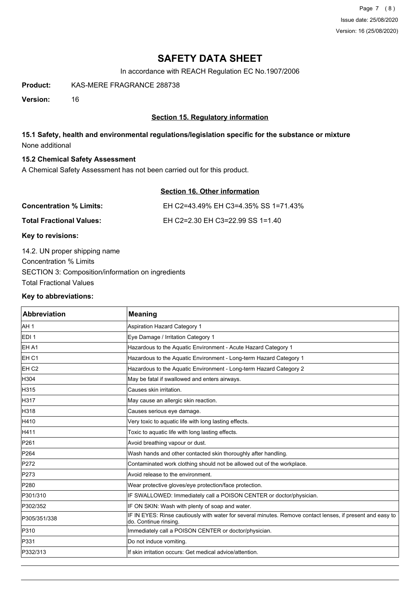Page 7 (8) Issue date: 25/08/2020 Version: 16 (25/08/2020)

# **SAFETY DATA SHEET**

In accordance with REACH Regulation EC No.1907/2006

**Product:** KAS-MERE FRAGRANCE 288738

**Version:** 16

## **Section 15. Regulatory information**

# **15.1 Safety, health and environmental regulations/legislation specific for the substance or mixture** None additional

### **15.2 Chemical Safety Assessment**

A Chemical Safety Assessment has not been carried out for this product.

# **Section 16. Other information**

| <b>Concentration % Limits:</b>       | EH C2=43.49% EH C3=4.35% SS 1=71.43% |
|--------------------------------------|--------------------------------------|
| Total Fractional Values:             | EH C2=2.30 EH C3=22.99 SS 1=1.40     |
| $\boldsymbol{V}$ ari ta waritalamari |                                      |

#### **Key to revisions:**

14.2. UN proper shipping name Concentration % Limits SECTION 3: Composition/information on ingredients Total Fractional Values

#### **Key to abbreviations:**

| Abbreviation     | <b>Meaning</b>                                                                                                                      |
|------------------|-------------------------------------------------------------------------------------------------------------------------------------|
| AH 1             | <b>Aspiration Hazard Category 1</b>                                                                                                 |
| EDI <sub>1</sub> | Eye Damage / Irritation Category 1                                                                                                  |
| EH A1            | Hazardous to the Aquatic Environment - Acute Hazard Category 1                                                                      |
| EH <sub>C1</sub> | Hazardous to the Aquatic Environment - Long-term Hazard Category 1                                                                  |
| EH <sub>C2</sub> | Hazardous to the Aquatic Environment - Long-term Hazard Category 2                                                                  |
| H304             | May be fatal if swallowed and enters airways.                                                                                       |
| H315             | Causes skin irritation.                                                                                                             |
| H317             | May cause an allergic skin reaction.                                                                                                |
| H318             | Causes serious eye damage.                                                                                                          |
| H410             | Very toxic to aquatic life with long lasting effects.                                                                               |
| H411             | Toxic to aquatic life with long lasting effects.                                                                                    |
| P261             | Avoid breathing vapour or dust.                                                                                                     |
| P264             | Wash hands and other contacted skin thoroughly after handling.                                                                      |
| P272             | Contaminated work clothing should not be allowed out of the workplace.                                                              |
| P273             | Avoid release to the environment.                                                                                                   |
| P280             | Wear protective gloves/eye protection/face protection.                                                                              |
| P301/310         | IF SWALLOWED: Immediately call a POISON CENTER or doctor/physician.                                                                 |
| P302/352         | IF ON SKIN: Wash with plenty of soap and water.                                                                                     |
| P305/351/338     | IF IN EYES: Rinse cautiously with water for several minutes. Remove contact lenses, if present and easy to<br>do. Continue rinsing. |
| P310             | Immediately call a POISON CENTER or doctor/physician.                                                                               |
| P331             | Do not induce vomiting.                                                                                                             |
| P332/313         | If skin irritation occurs: Get medical advice/attention.                                                                            |